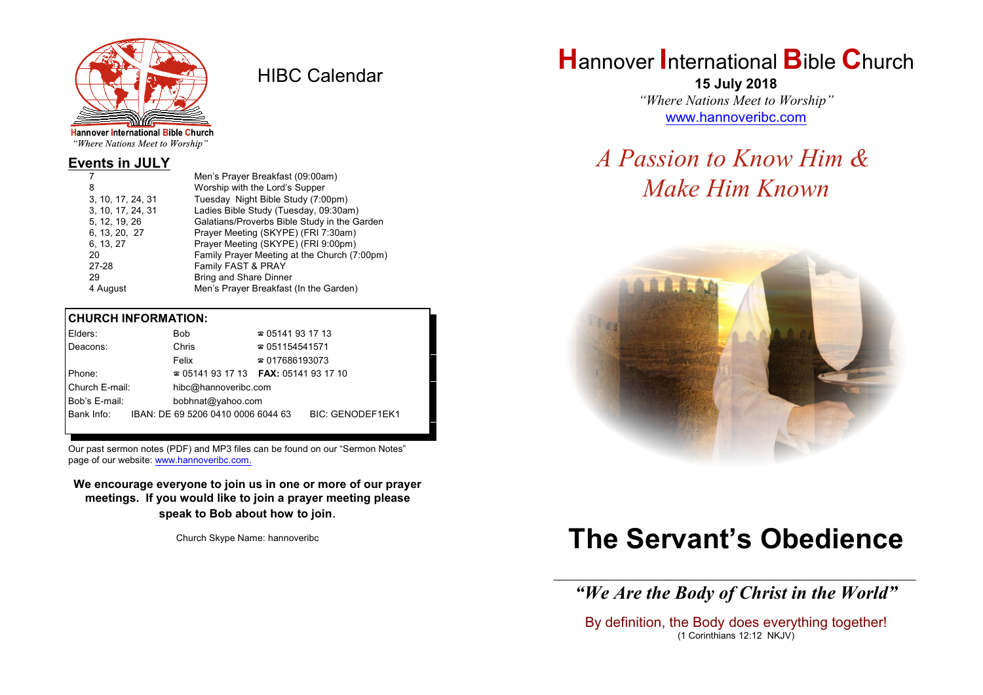

HIBC Calendar

"Where Nations Meet to Worship"

#### **Events in JULY**

|                   | Men's Prayer Breakfast (09:00am)             |
|-------------------|----------------------------------------------|
| 8                 | Worship with the Lord's Supper               |
| 3, 10, 17, 24, 31 | Tuesday Night Bible Study (7:00pm)           |
| 3, 10, 17, 24, 31 | Ladies Bible Study (Tuesday, 09:30am)        |
| 5, 12, 19, 26     | Galatians/Proverbs Bible Study in the Garden |
| 6, 13, 20, 27     | Prayer Meeting (SKYPE) (FRI 7:30am)          |
| 6, 13, 27         | Prayer Meeting (SKYPE) (FRI 9:00pm)          |
| 20                | Family Prayer Meeting at the Church (7:00pm) |
| 27-28             | Family FAST & PRAY                           |
| 29                | <b>Bring and Share Dinner</b>                |
| 4 August          | Men's Prayer Breakfast (In the Garden)       |

#### **CHURCH INFORMATION:**

|                                                  | Elders:                            |  | <b>Bob</b>                               | $\approx 05141931713$  |                         |
|--------------------------------------------------|------------------------------------|--|------------------------------------------|------------------------|-------------------------|
|                                                  | Deacons:                           |  | Chris                                    | $\approx 051154541571$ |                         |
|                                                  |                                    |  | Felix                                    | $\approx 017686193073$ |                         |
| Phone:                                           |                                    |  | $\approx 05141931713$ FAX: 0514193 17 10 |                        |                         |
| Church E-mail:<br>hibc@hannoveribc.com           |                                    |  |                                          |                        |                         |
|                                                  | Bob's E-mail:<br>bobhnat@yahoo.com |  |                                          |                        |                         |
| Bank Info:<br>IBAN: DE 69 5206 0410 0006 6044 63 |                                    |  |                                          |                        | <b>BIC: GENODEF1EK1</b> |
|                                                  |                                    |  |                                          |                        |                         |

Our past sermon notes (PDF) and MP3 files can be found on our "Sermon Notes" page of our website: [www.hannoveribc.com.](http://www.hannoveribc.com.)

**We encourage everyone to join us in one or more of our prayer meetings. If you would like to join a prayer meeting please speak to Bob about how to join**.

Church Skype Name: hannoveribc

## **H**annover **I**nternational **B**ible **C**hurch

**15 July 2018** *"Where Nations Meet to Worship"* [www.hannoveribc.com](http://www.hannoveribc.com)

## *A Passion to Know Him & Make Him Known*



# **The Servant's Obedience**

\_\_\_\_\_\_\_\_\_\_\_\_\_\_\_\_\_\_\_\_\_\_\_\_\_\_\_\_\_\_\_\_\_\_\_\_\_\_\_\_\_\_\_\_\_\_\_\_\_\_\_\_\_\_\_\_\_\_\_\_\_\_ *"We Are the Body of Christ in the World"*

By definition, the Body does everything together! (1 Corinthians 12:12 NKJV)